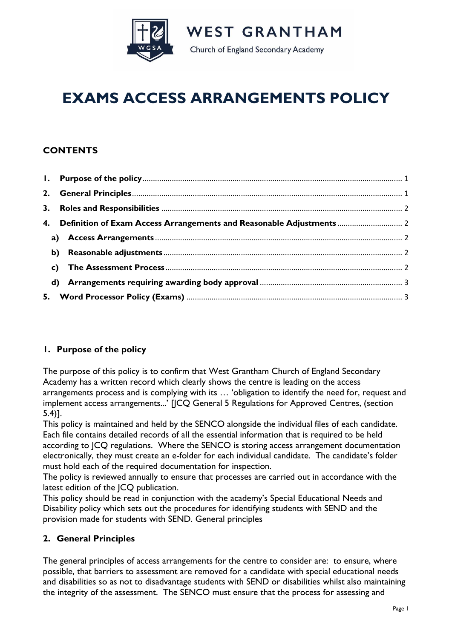

**WEST GRANTHAM** Church of England Secondary Academy

# **EXAMS ACCESS ARRANGEMENTS POLICY**

## **CONTENTS**

| 4. Definition of Exam Access Arrangements and Reasonable Adjustments  2 |  |
|-------------------------------------------------------------------------|--|
|                                                                         |  |
|                                                                         |  |
|                                                                         |  |
|                                                                         |  |
|                                                                         |  |

## **1. Purpose of the policy**

The purpose of this policy is to confirm that West Grantham Church of England Secondary Academy has a written record which clearly shows the centre is leading on the access arrangements process and is complying with its … 'obligation to identify the need for, request and implement access arrangements...' [JCQ General 5 Regulations for Approved Centres, (section 5.4)].

This policy is maintained and held by the SENCO alongside the individual files of each candidate. Each file contains detailed records of all the essential information that is required to be held according to JCQ regulations. Where the SENCO is storing access arrangement documentation electronically, they must create an e-folder for each individual candidate. The candidate's folder must hold each of the required documentation for inspection.

The policy is reviewed annually to ensure that processes are carried out in accordance with the latest edition of the JCQ publication.

This policy should be read in conjunction with the academy's Special Educational Needs and Disability policy which sets out the procedures for identifying students with SEND and the provision made for students with SEND. General principles

## **2. General Principles**

The general principles of access arrangements for the centre to consider are: to ensure, where possible, that barriers to assessment are removed for a candidate with special educational needs and disabilities so as not to disadvantage students with SEND or disabilities whilst also maintaining the integrity of the assessment. The SENCO must ensure that the process for assessing and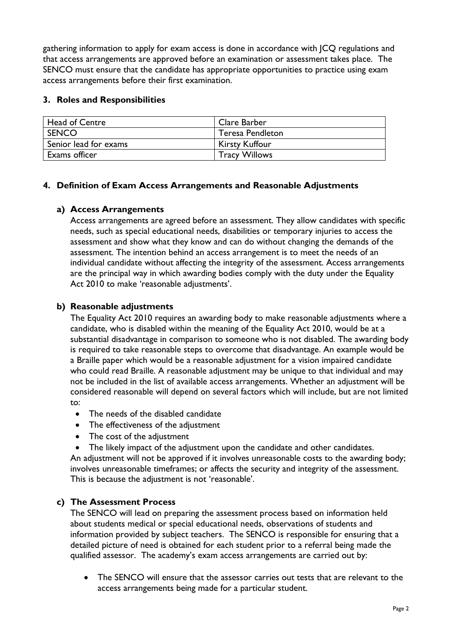gathering information to apply for exam access is done in accordance with JCQ regulations and that access arrangements are approved before an examination or assessment takes place. The SENCO must ensure that the candidate has appropriate opportunities to practice using exam access arrangements before their first examination.

### **3. Roles and Responsibilities**

| <b>Head of Centre</b> | Clare Barber            |
|-----------------------|-------------------------|
| <b>SENCO</b>          | <b>Teresa Pendleton</b> |
| Senior lead for exams | <b>Kirsty Kuffour</b>   |
| Exams officer         | <b>Tracy Willows</b>    |

#### **4. Definition of Exam Access Arrangements and Reasonable Adjustments**

#### **a) Access Arrangements**

Access arrangements are agreed before an assessment. They allow candidates with specific needs, such as special educational needs, disabilities or temporary injuries to access the assessment and show what they know and can do without changing the demands of the assessment. The intention behind an access arrangement is to meet the needs of an individual candidate without affecting the integrity of the assessment. Access arrangements are the principal way in which awarding bodies comply with the duty under the Equality Act 2010 to make 'reasonable adjustments'.

## **b) Reasonable adjustments**

The Equality Act 2010 requires an awarding body to make reasonable adjustments where a candidate, who is disabled within the meaning of the Equality Act 2010, would be at a substantial disadvantage in comparison to someone who is not disabled. The awarding body is required to take reasonable steps to overcome that disadvantage. An example would be a Braille paper which would be a reasonable adjustment for a vision impaired candidate who could read Braille. A reasonable adjustment may be unique to that individual and may not be included in the list of available access arrangements. Whether an adjustment will be considered reasonable will depend on several factors which will include, but are not limited to:

- The needs of the disabled candidate
- The effectiveness of the adjustment
- The cost of the adjustment
- The likely impact of the adjustment upon the candidate and other candidates.

An adjustment will not be approved if it involves unreasonable costs to the awarding body; involves unreasonable timeframes; or affects the security and integrity of the assessment. This is because the adjustment is not 'reasonable'.

## **c) The Assessment Process**

The SENCO will lead on preparing the assessment process based on information held about students medical or special educational needs, observations of students and information provided by subject teachers. The SENCO is responsible for ensuring that a detailed picture of need is obtained for each student prior to a referral being made the qualified assessor. The academy's exam access arrangements are carried out by:

The SENCO will ensure that the assessor carries out tests that are relevant to the access arrangements being made for a particular student.